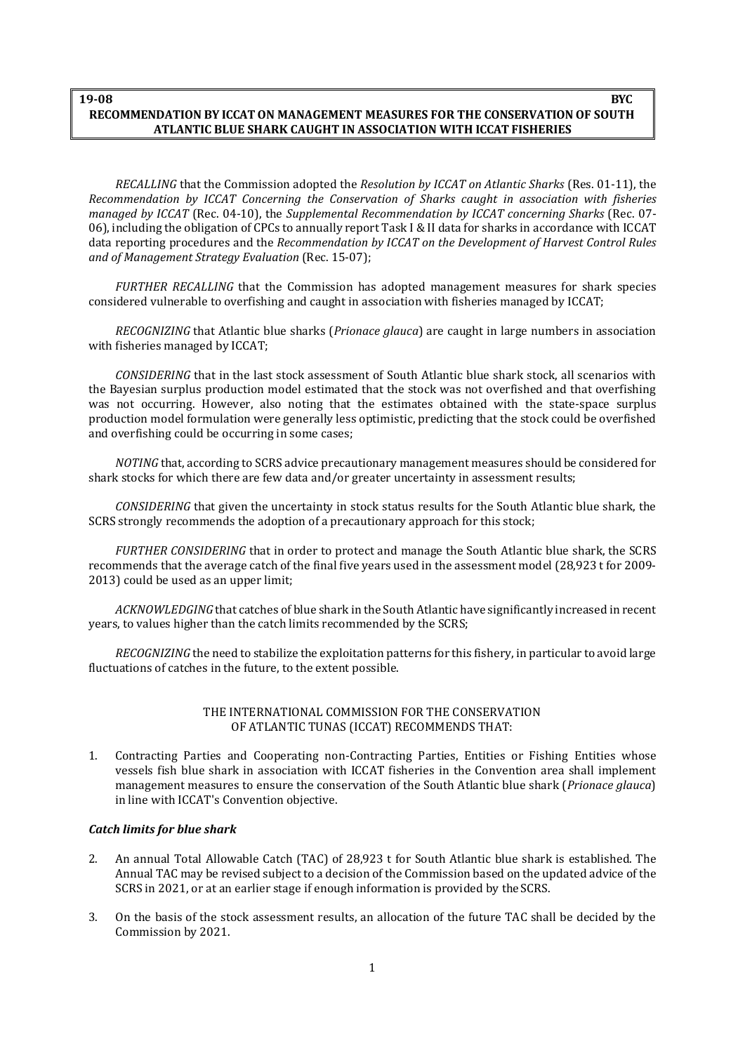#### **RECOMMENDATION BY ICCAT ON MANAGEMENT MEASURES FOR THE CONSERVATION OF SOUTH ATLANTIC BLUE SHARK CAUGHT IN ASSOCIATION WITH ICCAT FISHERIES 19-08 BYC**

*RECALLING* that the Commission adopted the *Resolution by ICCAT on Atlantic Sharks* (Res. 01-11), the *Recommendation by ICCAT Concerning the Conservation of Sharks caught in association with fisheries managed by ICCAT* (Rec. 04-10), the *Supplemental Recommendation by ICCAT concerning Sharks* (Rec. 07- 06), including the obligation of CPCs to annually report Task I & II data for sharks in accordance with ICCAT data reporting procedures and the *Recommendation by ICCAT on the Development of Harvest Control Rules and of Management Strategy Evaluation* (Rec. 15-07);

*FURTHER RECALLING* that the Commission has adopted management measures for shark species considered vulnerable to overfishing and caught in association with fisheries managed by ICCAT;

*RECOGNIZING* that Atlantic blue sharks (*Prionace glauca*) are caught in large numbers in association with fisheries managed by ICCAT;

*CONSIDERING* that in the last stock assessment of South Atlantic blue shark stock, all scenarios with the Bayesian surplus production model estimated that the stock was not overfished and that overfishing was not occurring. However, also noting that the estimates obtained with the state-space surplus production model formulation were generally less optimistic, predicting that the stock could be overfished and overfishing could be occurring in some cases;

*NOTING* that, according to SCRS advice precautionary management measures should be considered for shark stocks for which there are few data and/or greater uncertainty in assessment results;

*CONSIDERING* that given the uncertainty in stock status results for the South Atlantic blue shark, the SCRS strongly recommends the adoption of a precautionary approach for this stock;

*FURTHER CONSIDERING* that in order to protect and manage the South Atlantic blue shark, the SCRS recommends that the average catch of the final five years used in the assessment model (28,923 t for 2009- 2013) could be used as an upper limit;

*ACKNOWLEDGING* that catches of blue shark in the South Atlantic have significantly increased in recent years, to values higher than the catch limits recommended by the SCRS;

*RECOGNIZING* the need to stabilize the exploitation patterns for this fishery, in particular to avoid large fluctuations of catches in the future, to the extent possible.

#### THE INTERNATIONAL COMMISSION FOR THE CONSERVATION OF ATLANTIC TUNAS (ICCAT) RECOMMENDS THAT:

1. Contracting Parties and Cooperating non-Contracting Parties, Entities or Fishing Entities whose vessels fish blue shark in association with ICCAT fisheries in the Convention area shall implement management measures to ensure the conservation of the South Atlantic blue shark (*Prionace glauca*) in line with ICCAT's Convention objective.

### *Catch limits for blue shark*

- 2. An annual Total Allowable Catch (TAC) of 28,923 t for South Atlantic blue shark is established. The Annual TAC may be revised subject to a decision of the Commission based on the updated advice of the SCRS in 2021, or at an earlier stage if enough information is provided by theSCRS.
- 3. On the basis of the stock assessment results, an allocation of the future TAC shall be decided by the Commission by 2021.